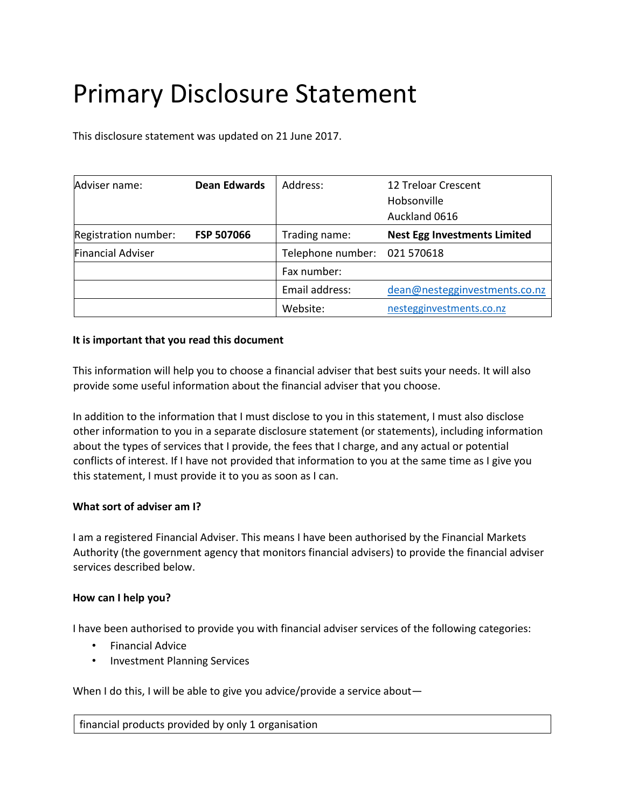# Primary Disclosure Statement

This disclosure statement was updated on 21 June 2017.

| Adviser name:            | <b>Dean Edwards</b> | Address:                     | 12 Treloar Crescent<br>Hobsonville<br>Auckland 0616 |
|--------------------------|---------------------|------------------------------|-----------------------------------------------------|
| Registration number:     | <b>FSP 507066</b>   | Trading name:                | <b>Nest Egg Investments Limited</b>                 |
| <b>Financial Adviser</b> |                     | Telephone number: 021 570618 |                                                     |
|                          |                     | Fax number:                  |                                                     |
|                          |                     | Email address:               | dean@nestegginvestments.co.nz                       |
|                          |                     | Website:                     | nestegginvestments.co.nz                            |

# **It is important that you read this document**

This information will help you to choose a financial adviser that best suits your needs. It will also provide some useful information about the financial adviser that you choose.

In addition to the information that I must disclose to you in this statement, I must also disclose other information to you in a separate disclosure statement (or statements), including information about the types of services that I provide, the fees that I charge, and any actual or potential conflicts of interest. If I have not provided that information to you at the same time as I give you this statement, I must provide it to you as soon as I can.

# **What sort of adviser am I?**

I am a registered Financial Adviser. This means I have been authorised by the Financial Markets Authority (the government agency that monitors financial advisers) to provide the financial adviser services described below.

# **How can I help you?**

I have been authorised to provide you with financial adviser services of the following categories:

- Financial Advice
- Investment Planning Services

When I do this, I will be able to give you advice/provide a service about-

financial products provided by only 1 organisation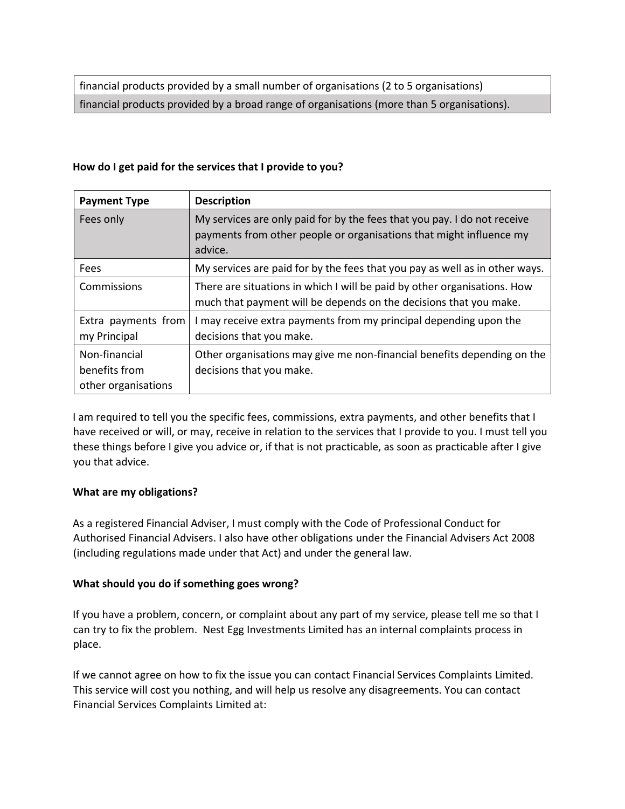financial products provided by a small number of organisations (2 to 5 organisations) financial products provided by a broad range of organisations (more than 5 organisations).

### **How do I get paid for the services that I provide to you?**

| <b>Payment Type</b>                                   | <b>Description</b>                                                                                                                                         |
|-------------------------------------------------------|------------------------------------------------------------------------------------------------------------------------------------------------------------|
| Fees only                                             | My services are only paid for by the fees that you pay. I do not receive<br>payments from other people or organisations that might influence my<br>advice. |
| Fees                                                  | My services are paid for by the fees that you pay as well as in other ways.                                                                                |
| Commissions                                           | There are situations in which I will be paid by other organisations. How<br>much that payment will be depends on the decisions that you make.              |
| Extra payments from<br>my Principal                   | I may receive extra payments from my principal depending upon the<br>decisions that you make.                                                              |
| Non-financial<br>benefits from<br>other organisations | Other organisations may give me non-financial benefits depending on the<br>decisions that you make.                                                        |

I am required to tell you the specific fees, commissions, extra payments, and other benefits that I have received or will, or may, receive in relation to the services that I provide to you. I must tell you these things before I give you advice or, if that is not practicable, as soon as practicable after I give you that advice.

# **What are my obligations?**

As a registered Financial Adviser, I must comply with the Code of Professional Conduct for Authorised Financial Advisers. I also have other obligations under the Financial Advisers Act 2008 (including regulations made under that Act) and under the general law.

# **What should you do if something goes wrong?**

If you have a problem, concern, or complaint about any part of my service, please tell me so that I can try to fix the problem. Nest Egg Investments Limited has an internal complaints process in place.

If we cannot agree on how to fix the issue you can contact Financial Services Complaints Limited. This service will cost you nothing, and will help us resolve any disagreements. You can contact Financial Services Complaints Limited at: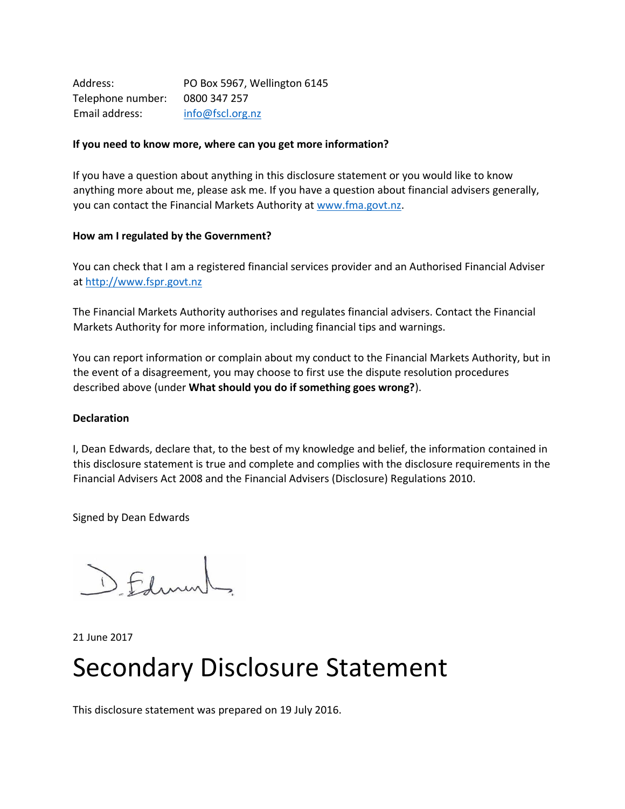| Address:          | PO Box 5967, Wellington 6145 |
|-------------------|------------------------------|
| Telephone number: | 0800 347 257                 |
| Email address:    | info@fscl.org.nz             |

### **If you need to know more, where can you get more information?**

If you have a question about anything in this disclosure statement or you would like to know anything more about me, please ask me. If you have a question about financial advisers generally, you can contact the Financial Markets Authority at [www.fma.govt.nz.](http://www.fma.govt.nz/)

### **How am I regulated by the Government?**

You can check that I am a registered financial services provider and an Authorised Financial Adviser a[t http://www.fspr.govt.nz](http://www.fspr.govt.nz/)

The Financial Markets Authority authorises and regulates financial advisers. Contact the Financial Markets Authority for more information, including financial tips and warnings.

You can report information or complain about my conduct to the Financial Markets Authority, but in the event of a disagreement, you may choose to first use the dispute resolution procedures described above (under **What should you do if something goes wrong?**).

### **Declaration**

I, Dean Edwards, declare that, to the best of my knowledge and belief, the information contained in this disclosure statement is true and complete and complies with the disclosure requirements in the Financial Advisers Act 2008 and the Financial Advisers (Disclosure) Regulations 2010.

Signed by Dean Edwards

DEfining

21 June 2017

# Secondary Disclosure Statement

This disclosure statement was prepared on 19 July 2016.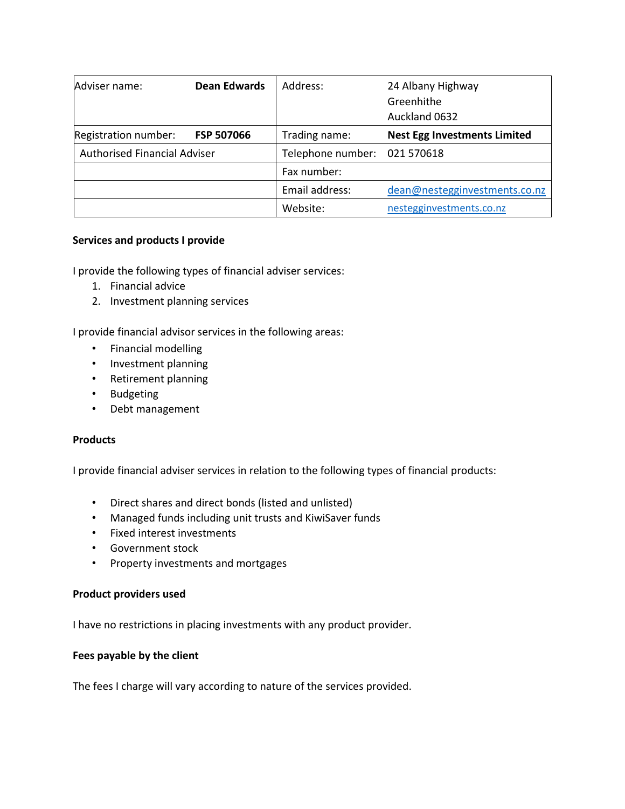| Adviser name:                       | <b>Dean Edwards</b> | Address:                     | 24 Albany Highway<br>Greenhithe<br>Auckland 0632 |
|-------------------------------------|---------------------|------------------------------|--------------------------------------------------|
| Registration number:                | <b>FSP 507066</b>   | Trading name:                | <b>Nest Egg Investments Limited</b>              |
| <b>Authorised Financial Adviser</b> |                     | Telephone number: 021 570618 |                                                  |
|                                     |                     | Fax number:                  |                                                  |
|                                     |                     | Email address:               | dean@nestegginvestments.co.nz                    |
|                                     |                     | Website:                     | nestegginvestments.co.nz                         |

### **Services and products I provide**

I provide the following types of financial adviser services:

- 1. Financial advice
- 2. Investment planning services

I provide financial advisor services in the following areas:

- Financial modelling
- Investment planning
- Retirement planning
- Budgeting
- Debt management

# **Products**

I provide financial adviser services in relation to the following types of financial products:

- Direct shares and direct bonds (listed and unlisted)
- Managed funds including unit trusts and KiwiSaver funds
- Fixed interest investments
- Government stock
- Property investments and mortgages

### **Product providers used**

I have no restrictions in placing investments with any product provider.

### **Fees payable by the client**

The fees I charge will vary according to nature of the services provided.